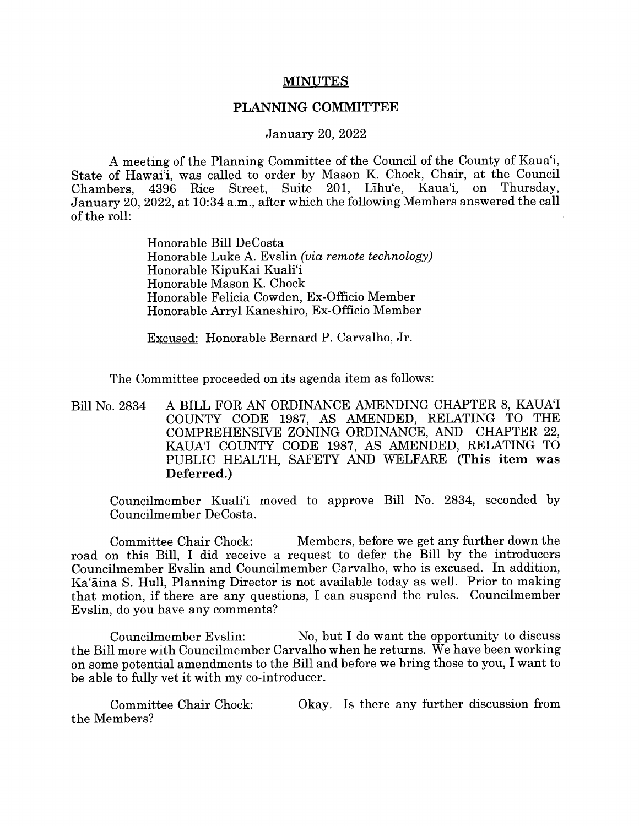## MINUTES

## PLANNING COMMITTEE

## January 20, 2022

A meeting of the Planning Committee of the Council of the County of Kaua'i, State of Hawai'i, was called to order by Mason K. Chock, Chair, at the Council Chambers, 4396 Rice Street, Suite 201, Lihu'e, Kaua'i, on Thursday, January 20, 2022, at 10:34 a.m., after which the following Members answered the call of the roll:

> Honorable Bill DeCosta Honorable Luke A. Evslin (via remote technology) Honorable KipuKai Kuali'i Honorable Mason K. Chock Honorable Felicia Cowden, Ex-Officio Member Honorable Arryl Kaneshiro, Ex-Officio Member

Excused: Honorable Bernard P. Carvalho, Jr.

The Committee proceeded on its agenda item as follows:

Bill No. 2834 A BILL FOR AN ORDINANCE AMENDING CHAPTER 8, KAUA'I COUNTY CODE 1987, AS AMENDED, RELATING TO THE COMPREHENSIVE ZONING ORDINANCE, AND CHAPTER 22, KAUA'I COUNTY CODE 1987, AS AMENDED, RELATING TO PUBLIC HEALTH, SAFETY AND WELFARE (This item was Deferred.)

Councilmember Kuali'i moved to approve Bill No. 2834, seconded by Councilmember DeCosta.

Committee Chair Chock: Members, before we get any further down the road on this Bill, I did receive <sup>a</sup> request to defer the Bill by the introducers Councilmember Evslin and Councilmember Carvalho, who is excused. In addition, Ka'ãina S. Hull, Planning Director is not available today as well. Prior to making that motion, if there are any questions, I can suspend the rules. Councilmember Evslin, do you have any comments?

Councilmember Evslin: No, but I do want the opportunity to discuss the Bill more with Councilmember Carvalho when he returns. We have been working on some potential amendments to the Bill and before we bring those to you, I want to be able to fully vet it with my co-introducer.

Committee Chair Chock: Okay. Is there any further discussion from the Members?